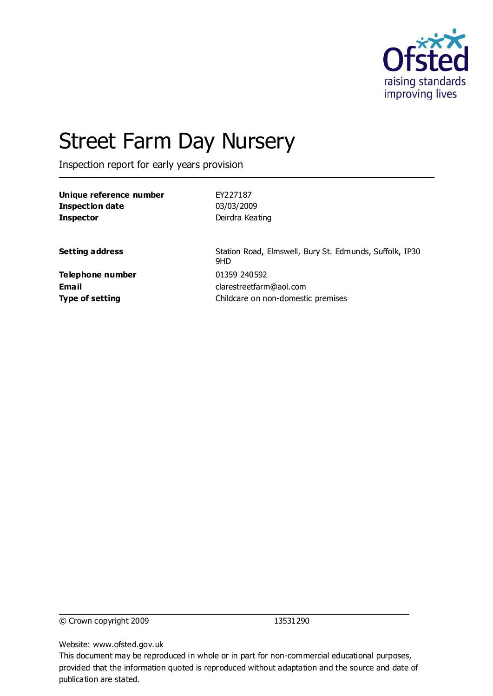

# Street Farm Day Nursery

Inspection report for early years provision

| Unique reference number | FY227187                                                       |
|-------------------------|----------------------------------------------------------------|
| <b>Inspection date</b>  | 03/03/2009                                                     |
| <b>Inspector</b>        | Deirdra Keating                                                |
| <b>Setting address</b>  | Station Road, Elmswell, Bury St. Edmunds, Suffolk, IP30<br>9HD |
| Telephone number        | 01359 240592                                                   |
| Email                   | clarestreetfarm@aol.com                                        |
| <b>Type of setting</b>  | Childcare on non-domestic premises                             |

© Crown copyright 2009 13531290

Website: www.ofsted.gov.uk

This document may be reproduced in whole or in part for non-commercial educational purposes, provided that the information quoted is reproduced without adaptation and the source and date of publication are stated.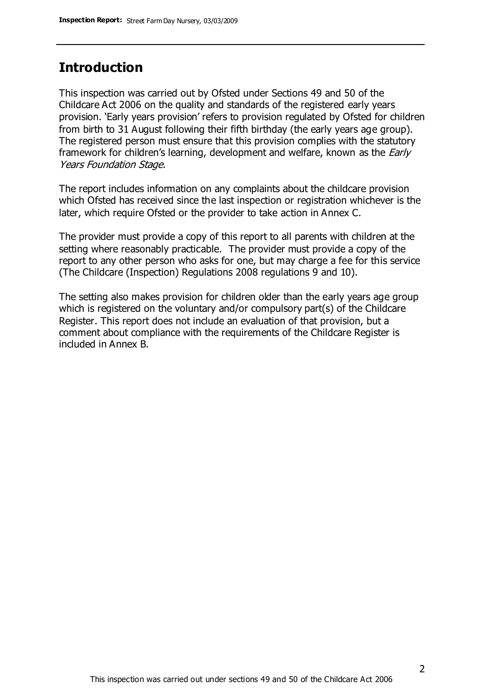#### **Introduction**

This inspection was carried out by Ofsted under Sections 49 and 50 of the Childcare Act 2006 on the quality and standards of the registered early years provision. 'Early years provision' refers to provision regulated by Ofsted for children from birth to 31 August following their fifth birthday (the early years age group). The registered person must ensure that this provision complies with the statutory framework for children's learning, development and welfare, known as the *Early* Years Foundation Stage.

The report includes information on any complaints about the childcare provision which Ofsted has received since the last inspection or registration whichever is the later, which require Ofsted or the provider to take action in Annex C.

The provider must provide a copy of this report to all parents with children at the setting where reasonably practicable. The provider must provide a copy of the report to any other person who asks for one, but may charge a fee for this service (The Childcare (Inspection) Regulations 2008 regulations 9 and 10).

The setting also makes provision for children older than the early years age group which is registered on the voluntary and/or compulsory part(s) of the Childcare Register. This report does not include an evaluation of that provision, but a comment about compliance with the requirements of the Childcare Register is included in Annex B.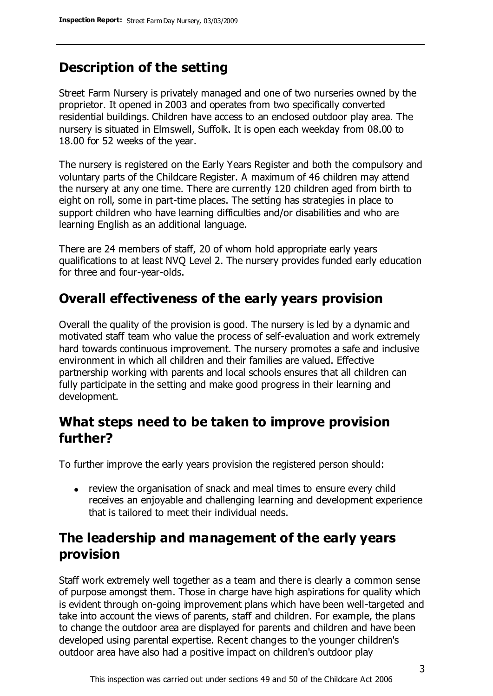# **Description of the setting**

Street Farm Nursery is privately managed and one of two nurseries owned by the proprietor. It opened in 2003 and operates from two specifically converted residential buildings. Children have access to an enclosed outdoor play area. The nursery is situated in Elmswell, Suffolk. It is open each weekday from 08.00 to 18.00 for 52 weeks of the year.

The nursery is registered on the Early Years Register and both the compulsory and voluntary parts of the Childcare Register. A maximum of 46 children may attend the nursery at any one time. There are currently 120 children aged from birth to eight on roll, some in part-time places. The setting has strategies in place to support children who have learning difficulties and/or disabilities and who are learning English as an additional language.

There are 24 members of staff, 20 of whom hold appropriate early years qualifications to at least NVQ Level 2. The nursery provides funded early education for three and four-year-olds.

# **Overall effectiveness of the early years provision**

Overall the quality of the provision is good. The nursery is led by a dynamic and motivated staff team who value the process of self-evaluation and work extremely hard towards continuous improvement. The nursery promotes a safe and inclusive environment in which all children and their families are valued. Effective partnership working with parents and local schools ensures that all children can fully participate in the setting and make good progress in their learning and development.

### **What steps need to be taken to improve provision further?**

To further improve the early years provision the registered person should:

review the organisation of snack and meal times to ensure every child receives an enjoyable and challenging learning and development experience that is tailored to meet their individual needs.

# **The leadership and management of the early years provision**

Staff work extremely well together as a team and there is clearly a common sense of purpose amongst them. Those in charge have high aspirations for quality which is evident through on-going improvement plans which have been well-targeted and take into account the views of parents, staff and children. For example, the plans to change the outdoor area are displayed for parents and children and have been developed using parental expertise. Recent changes to the younger children's outdoor area have also had a positive impact on children's outdoor play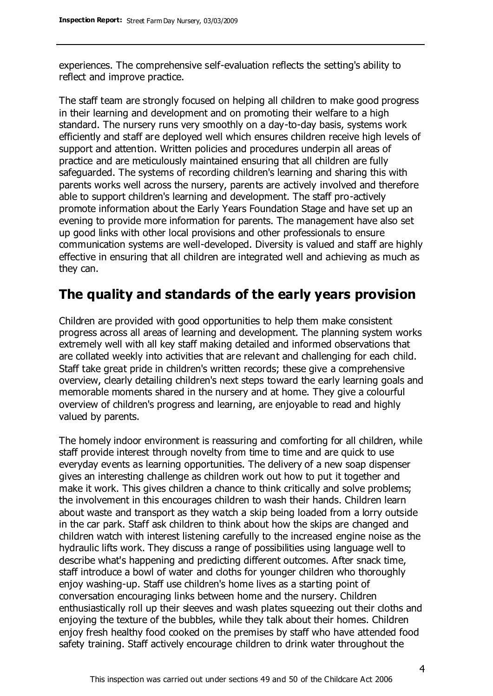experiences. The comprehensive self-evaluation reflects the setting's ability to reflect and improve practice.

The staff team are strongly focused on helping all children to make good progress in their learning and development and on promoting their welfare to a high standard. The nursery runs very smoothly on a day-to-day basis, systems work efficiently and staff are deployed well which ensures children receive high levels of support and attention. Written policies and procedures underpin all areas of practice and are meticulously maintained ensuring that all children are fully safeguarded. The systems of recording children's learning and sharing this with parents works well across the nursery, parents are actively involved and therefore able to support children's learning and development. The staff pro-actively promote information about the Early Years Foundation Stage and have set up an evening to provide more information for parents. The management have also set up good links with other local provisions and other professionals to ensure communication systems are well-developed. Diversity is valued and staff are highly effective in ensuring that all children are integrated well and achieving as much as they can.

### **The quality and standards of the early years provision**

Children are provided with good opportunities to help them make consistent progress across all areas of learning and development. The planning system works extremely well with all key staff making detailed and informed observations that are collated weekly into activities that are relevant and challenging for each child. Staff take great pride in children's written records; these give a comprehensive overview, clearly detailing children's next steps toward the early learning goals and memorable moments shared in the nursery and at home. They give a colourful overview of children's progress and learning, are enjoyable to read and highly valued by parents.

The homely indoor environment is reassuring and comforting for all children, while staff provide interest through novelty from time to time and are quick to use everyday events as learning opportunities. The delivery of a new soap dispenser gives an interesting challenge as children work out how to put it together and make it work. This gives children a chance to think critically and solve problems; the involvement in this encourages children to wash their hands. Children learn about waste and transport as they watch a skip being loaded from a lorry outside in the car park. Staff ask children to think about how the skips are changed and children watch with interest listening carefully to the increased engine noise as the hydraulic lifts work. They discuss a range of possibilities using language well to describe what's happening and predicting different outcomes. After snack time, staff introduce a bowl of water and cloths for younger children who thoroughly enjoy washing-up. Staff use children's home lives as a starting point of conversation encouraging links between home and the nursery. Children enthusiastically roll up their sleeves and wash plates squeezing out their cloths and enjoying the texture of the bubbles, while they talk about their homes. Children enjoy fresh healthy food cooked on the premises by staff who have attended food safety training. Staff actively encourage children to drink water throughout the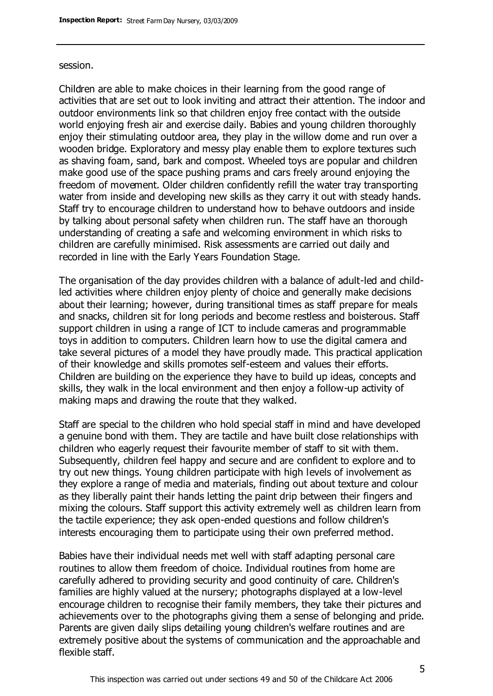#### session.

Children are able to make choices in their learning from the good range of activities that are set out to look inviting and attract their attention. The indoor and outdoor environments link so that children enjoy free contact with the outside world enjoying fresh air and exercise daily. Babies and young children thoroughly enjoy their stimulating outdoor area, they play in the willow dome and run over a wooden bridge. Exploratory and messy play enable them to explore textures such as shaving foam, sand, bark and compost. Wheeled toys are popular and children make good use of the space pushing prams and cars freely around enjoying the freedom of movement. Older children confidently refill the water tray transporting water from inside and developing new skills as they carry it out with steady hands. Staff try to encourage children to understand how to behave outdoors and inside by talking about personal safety when children run. The staff have an thorough understanding of creating a safe and welcoming environment in which risks to children are carefully minimised. Risk assessments are carried out daily and recorded in line with the Early Years Foundation Stage.

The organisation of the day provides children with a balance of adult-led and childled activities where children enjoy plenty of choice and generally make decisions about their learning; however, during transitional times as staff prepare for meals and snacks, children sit for long periods and become restless and boisterous. Staff support children in using a range of ICT to include cameras and programmable toys in addition to computers. Children learn how to use the digital camera and take several pictures of a model they have proudly made. This practical application of their knowledge and skills promotes self-esteem and values their efforts. Children are building on the experience they have to build up ideas, concepts and skills, they walk in the local environment and then enjoy a follow-up activity of making maps and drawing the route that they walked.

Staff are special to the children who hold special staff in mind and have developed a genuine bond with them. They are tactile and have built close relationships with children who eagerly request their favourite member of staff to sit with them. Subsequently, children feel happy and secure and are confident to explore and to try out new things. Young children participate with high levels of involvement as they explore a range of media and materials, finding out about texture and colour as they liberally paint their hands letting the paint drip between their fingers and mixing the colours. Staff support this activity extremely well as children learn from the tactile experience; they ask open-ended questions and follow children's interests encouraging them to participate using their own preferred method.

Babies have their individual needs met well with staff adapting personal care routines to allow them freedom of choice. Individual routines from home are carefully adhered to providing security and good continuity of care. Children's families are highly valued at the nursery; photographs displayed at a low-level encourage children to recognise their family members, they take their pictures and achievements over to the photographs giving them a sense of belonging and pride. Parents are given daily slips detailing young children's welfare routines and are extremely positive about the systems of communication and the approachable and flexible staff.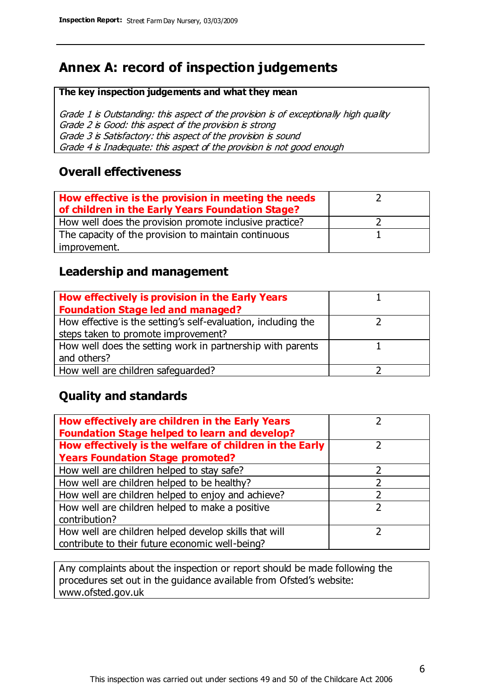# **Annex A: record of inspection judgements**

#### **The key inspection judgements and what they mean**

Grade 1 is Outstanding: this aspect of the provision is of exceptionally high quality Grade 2 is Good: this aspect of the provision is strong Grade 3 is Satisfactory: this aspect of the provision is sound Grade 4 is Inadequate: this aspect of the provision is not good enough

#### **Overall effectiveness**

| How effective is the provision in meeting the needs<br>of children in the Early Years Foundation Stage? |  |
|---------------------------------------------------------------------------------------------------------|--|
| How well does the provision promote inclusive practice?                                                 |  |
| The capacity of the provision to maintain continuous                                                    |  |
| improvement.                                                                                            |  |

#### **Leadership and management**

| How effectively is provision in the Early Years               |  |
|---------------------------------------------------------------|--|
| <b>Foundation Stage led and managed?</b>                      |  |
| How effective is the setting's self-evaluation, including the |  |
| steps taken to promote improvement?                           |  |
| How well does the setting work in partnership with parents    |  |
| and others?                                                   |  |
| How well are children safequarded?                            |  |

#### **Quality and standards**

| How effectively are children in the Early Years<br><b>Foundation Stage helped to learn and develop?</b> |   |
|---------------------------------------------------------------------------------------------------------|---|
| How effectively is the welfare of children in the Early                                                 |   |
| <b>Years Foundation Stage promoted?</b>                                                                 |   |
| How well are children helped to stay safe?                                                              |   |
| How well are children helped to be healthy?                                                             |   |
| How well are children helped to enjoy and achieve?                                                      | 2 |
| How well are children helped to make a positive                                                         | っ |
| contribution?                                                                                           |   |
| How well are children helped develop skills that will                                                   |   |
| contribute to their future economic well-being?                                                         |   |

Any complaints about the inspection or report should be made following the procedures set out in the guidance available from Ofsted's website: www.ofsted.gov.uk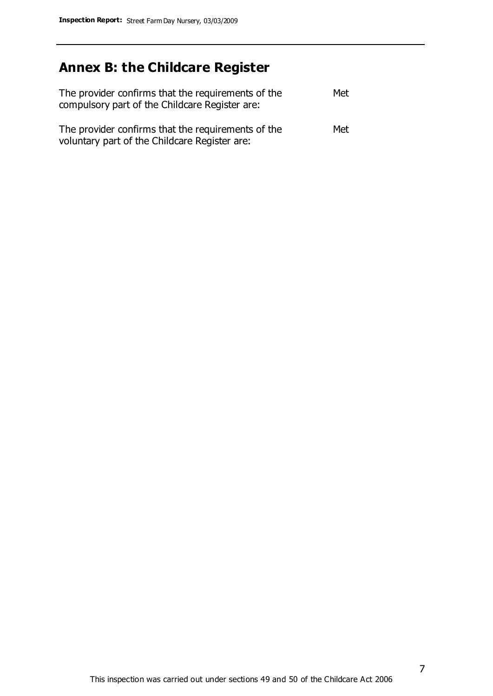# **Annex B: the Childcare Register**

| The provider confirms that the requirements of the<br>compulsory part of the Childcare Register are: | Met |
|------------------------------------------------------------------------------------------------------|-----|
| The provider confirms that the requirements of the<br>voluntary part of the Childcare Register are:  | Met |